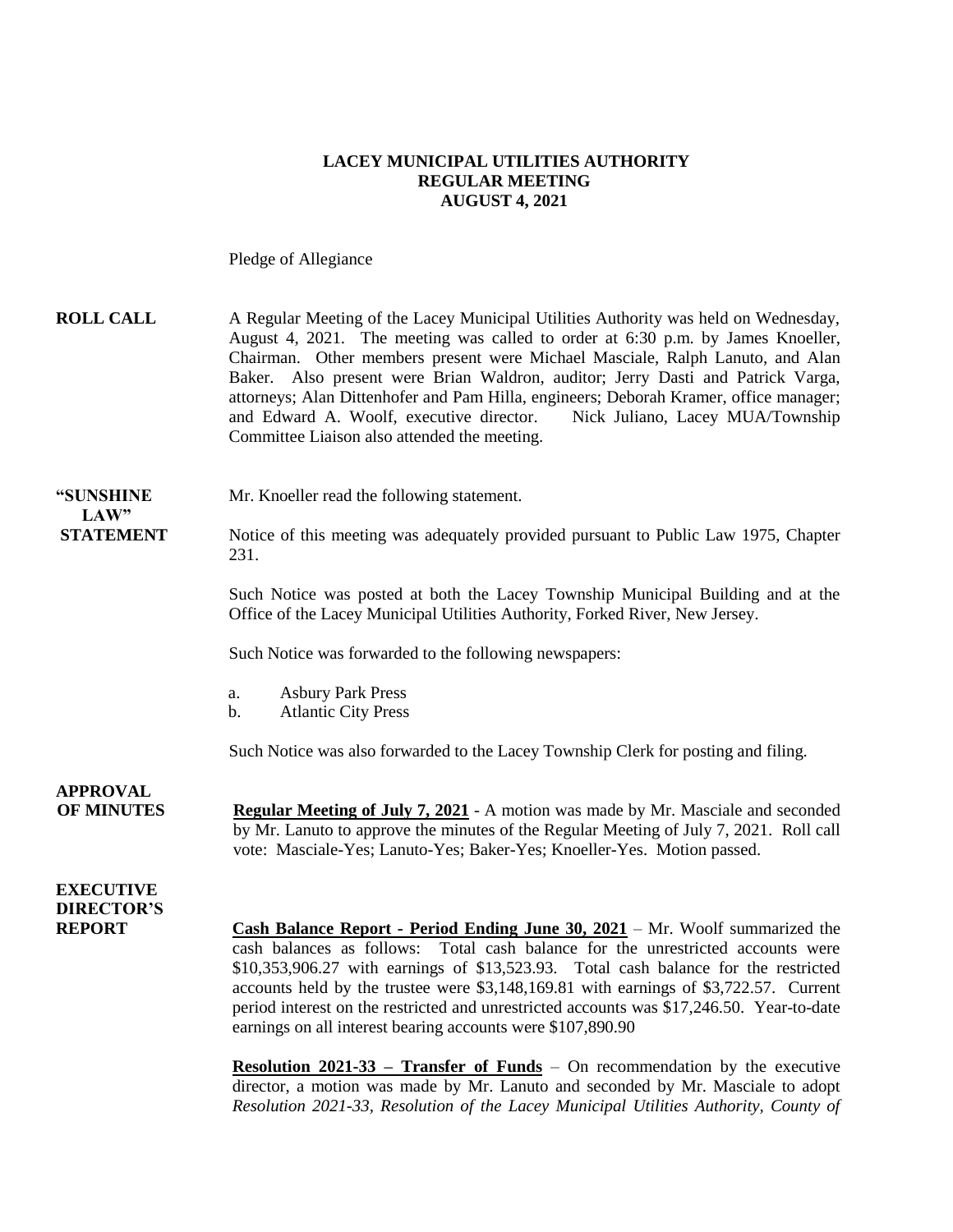#### **LACEY MUNICIPAL UTILITIES AUTHORITY REGULAR MEETING AUGUST 4, 2021**

Pledge of Allegiance

| <b>ROLL CALL</b>                     | A Regular Meeting of the Lacey Municipal Utilities Authority was held on Wednesday,<br>August 4, 2021. The meeting was called to order at 6:30 p.m. by James Knoeller,<br>Chairman. Other members present were Michael Masciale, Ralph Lanuto, and Alan<br>Baker. Also present were Brian Waldron, auditor; Jerry Dasti and Patrick Varga,<br>attorneys; Alan Dittenhofer and Pam Hilla, engineers; Deborah Kramer, office manager;<br>and Edward A. Woolf, executive director.<br>Nick Juliano, Lacey MUA/Township<br>Committee Liaison also attended the meeting. |
|--------------------------------------|---------------------------------------------------------------------------------------------------------------------------------------------------------------------------------------------------------------------------------------------------------------------------------------------------------------------------------------------------------------------------------------------------------------------------------------------------------------------------------------------------------------------------------------------------------------------|
| "SUNSHINE<br>LAW"                    | Mr. Knoeller read the following statement.                                                                                                                                                                                                                                                                                                                                                                                                                                                                                                                          |
| <b>STATEMENT</b>                     | Notice of this meeting was adequately provided pursuant to Public Law 1975, Chapter<br>231.                                                                                                                                                                                                                                                                                                                                                                                                                                                                         |
|                                      | Such Notice was posted at both the Lacey Township Municipal Building and at the<br>Office of the Lacey Municipal Utilities Authority, Forked River, New Jersey.                                                                                                                                                                                                                                                                                                                                                                                                     |
|                                      | Such Notice was forwarded to the following newspapers:                                                                                                                                                                                                                                                                                                                                                                                                                                                                                                              |
|                                      | <b>Asbury Park Press</b><br>a.<br><b>Atlantic City Press</b><br>b.                                                                                                                                                                                                                                                                                                                                                                                                                                                                                                  |
|                                      | Such Notice was also forwarded to the Lacey Township Clerk for posting and filing.                                                                                                                                                                                                                                                                                                                                                                                                                                                                                  |
| <b>APPROVAL</b><br><b>OF MINUTES</b> | <b>Regular Meeting of July 7, 2021</b> - A motion was made by Mr. Masciale and seconded<br>by Mr. Lanuto to approve the minutes of the Regular Meeting of July 7, 2021. Roll call<br>vote: Masciale-Yes; Lanuto-Yes; Baker-Yes; Knoeller-Yes. Motion passed.                                                                                                                                                                                                                                                                                                        |
| <b>EXECUTIVE</b>                     |                                                                                                                                                                                                                                                                                                                                                                                                                                                                                                                                                                     |
| <b>DIRECTOR'S</b><br><b>REPORT</b>   | <b>Cash Balance Report - Period Ending June 30, 2021</b> – Mr. Woolf summarized the<br>cash balances as follows: Total cash balance for the unrestricted accounts were<br>$$10,353,906.27$ with earnings of $$13,523.93$ . Total cash balance for the restricted<br>accounts held by the trustee were \$3,148,169.81 with earnings of \$3,722.57. Current<br>period interest on the restricted and unrestricted accounts was \$17,246.50. Year-to-date<br>earnings on all interest bearing accounts were \$107,890.90                                               |
|                                      | <b>Resolution 2021-33 – Transfer of Funds</b> – On recommendation by the executive<br>director, a motion was made by Mr. Lanuto and seconded by Mr. Masciale to adopt                                                                                                                                                                                                                                                                                                                                                                                               |

*Resolution 2021-33, Resolution of the Lacey Municipal Utilities Authority, County of*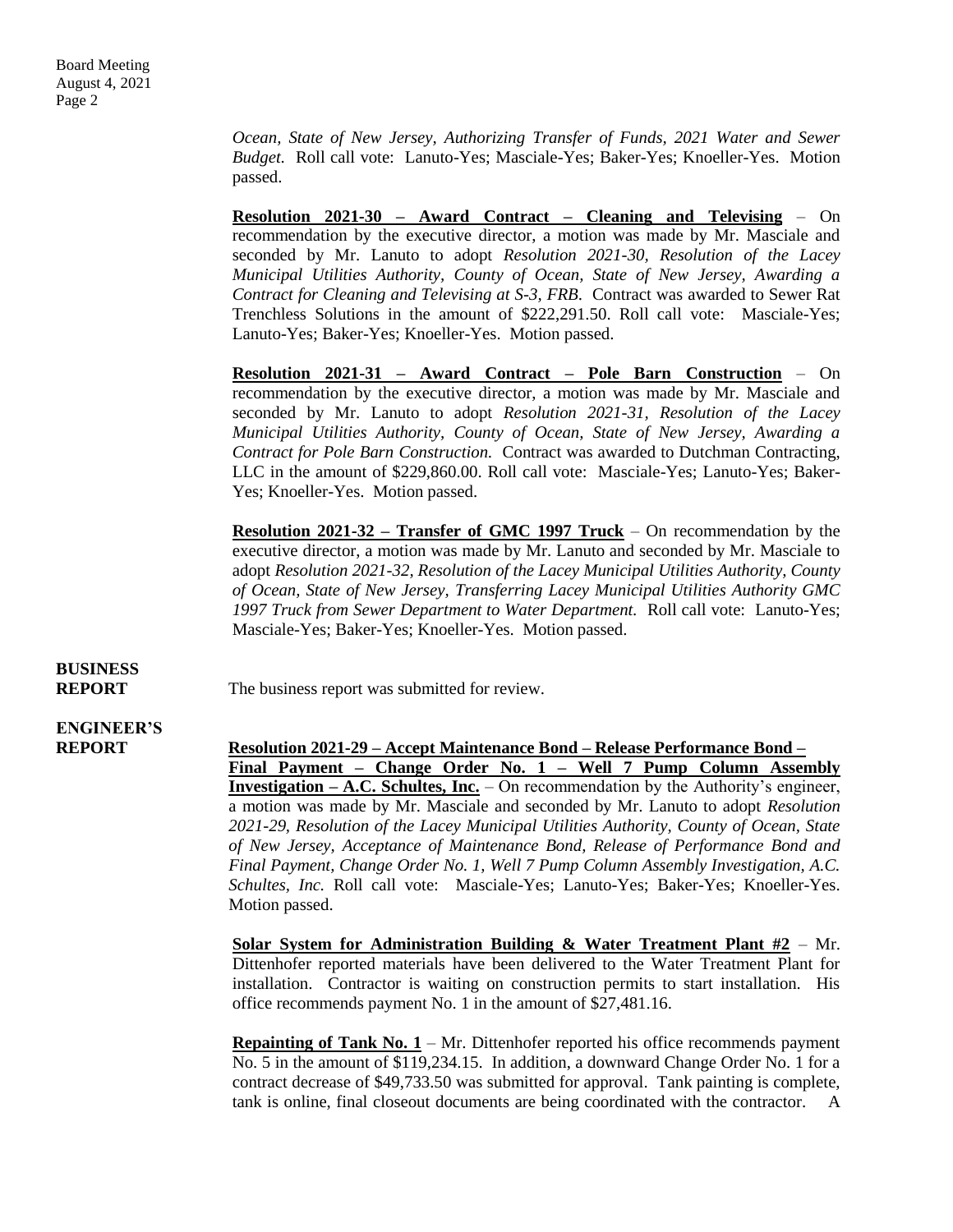*Ocean, State of New Jersey, Authorizing Transfer of Funds, 2021 Water and Sewer Budget.* Roll call vote: Lanuto-Yes; Masciale-Yes; Baker-Yes; Knoeller-Yes. Motion passed.

**Resolution 2021-30 – Award Contract – Cleaning and Televising** – On recommendation by the executive director, a motion was made by Mr. Masciale and seconded by Mr. Lanuto to adopt *Resolution 2021-30, Resolution of the Lacey Municipal Utilities Authority, County of Ocean, State of New Jersey, Awarding a Contract for Cleaning and Televising at S-3, FRB*. Contract was awarded to Sewer Rat Trenchless Solutions in the amount of \$222,291.50. Roll call vote: Masciale-Yes; Lanuto-Yes; Baker-Yes; Knoeller-Yes. Motion passed.

**Resolution 2021-31 – Award Contract – Pole Barn Construction** – On recommendation by the executive director, a motion was made by Mr. Masciale and seconded by Mr. Lanuto to adopt *Resolution 2021-31, Resolution of the Lacey Municipal Utilities Authority, County of Ocean, State of New Jersey, Awarding a Contract for Pole Barn Construction.* Contract was awarded to Dutchman Contracting, LLC in the amount of \$229,860.00. Roll call vote: Masciale-Yes; Lanuto-Yes; Baker-Yes; Knoeller-Yes. Motion passed.

**Resolution 2021-32 – Transfer of GMC 1997 Truck** – On recommendation by the executive director, a motion was made by Mr. Lanuto and seconded by Mr. Masciale to adopt *Resolution 2021-32, Resolution of the Lacey Municipal Utilities Authority, County of Ocean, State of New Jersey, Transferring Lacey Municipal Utilities Authority GMC 1997 Truck from Sewer Department to Water Department.* Roll call vote: Lanuto-Yes; Masciale-Yes; Baker-Yes; Knoeller-Yes. Motion passed.

# **BUSINESS**

**REPORT** The business report was submitted for review.

**ENGINEER'S**

**REPORT Resolution 2021-29 – Accept Maintenance Bond – Release Performance Bond – Final Payment – Change Order No. 1 – Well 7 Pump Column Assembly Investigation – A.C. Schultes, Inc.** – On recommendation by the Authority's engineer, a motion was made by Mr. Masciale and seconded by Mr. Lanuto to adopt *Resolution 2021-29, Resolution of the Lacey Municipal Utilities Authority, County of Ocean, State of New Jersey, Acceptance of Maintenance Bond, Release of Performance Bond and Final Payment, Change Order No. 1, Well 7 Pump Column Assembly Investigation, A.C. Schultes, Inc.* Roll call vote: Masciale-Yes; Lanuto-Yes; Baker-Yes; Knoeller-Yes. Motion passed.

> **Solar System for Administration Building & Water Treatment Plant #2** – Mr. Dittenhofer reported materials have been delivered to the Water Treatment Plant for installation. Contractor is waiting on construction permits to start installation. His office recommends payment No. 1 in the amount of \$27,481.16.

> **Repainting of Tank No. 1** – Mr. Dittenhofer reported his office recommends payment No. 5 in the amount of \$119,234.15. In addition, a downward Change Order No. 1 for a contract decrease of \$49,733.50 was submitted for approval. Tank painting is complete, tank is online, final closeout documents are being coordinated with the contractor. A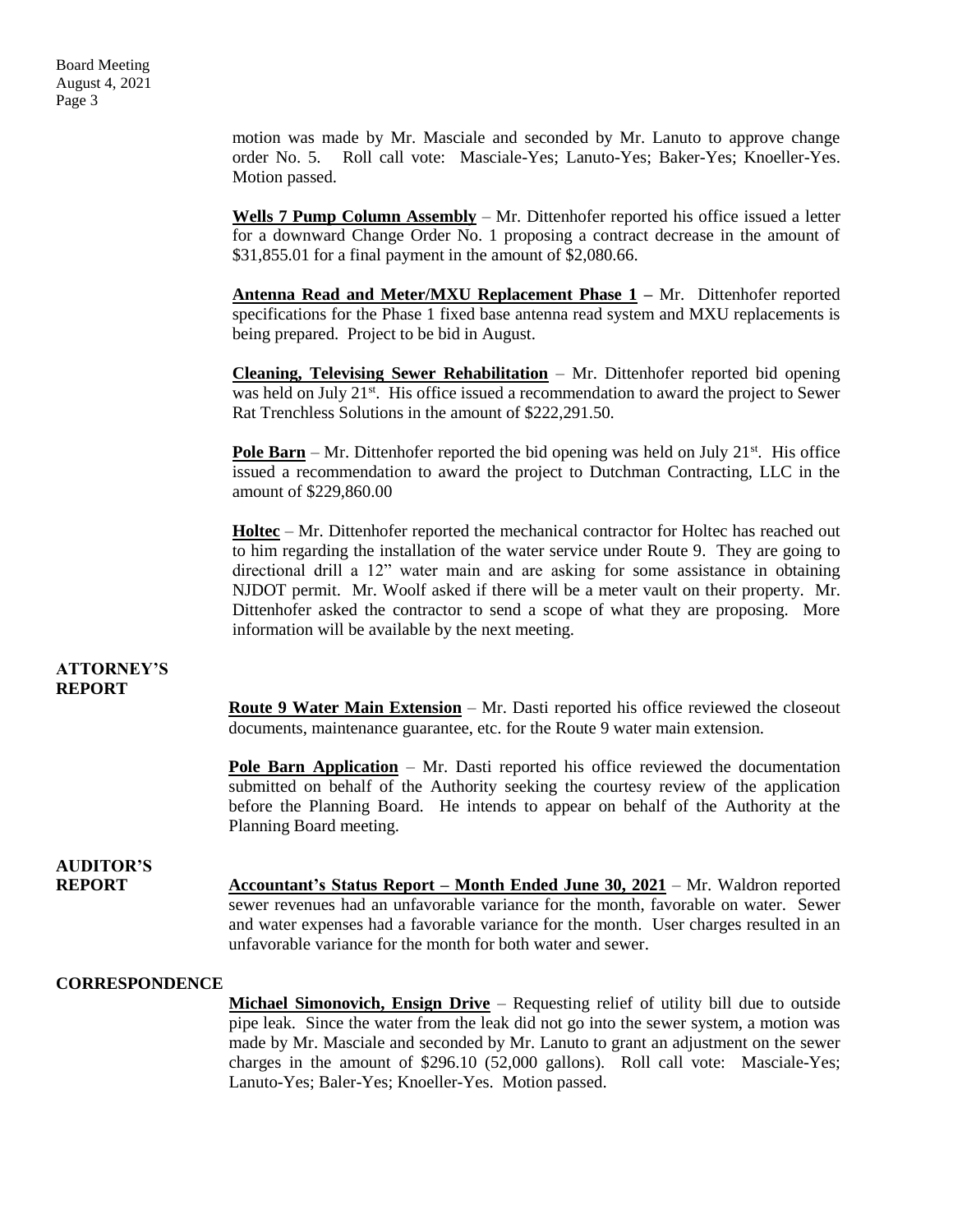motion was made by Mr. Masciale and seconded by Mr. Lanuto to approve change order No. 5. Roll call vote: Masciale-Yes; Lanuto-Yes; Baker-Yes; Knoeller-Yes. Motion passed.

**Wells 7 Pump Column Assembly** – Mr. Dittenhofer reported his office issued a letter for a downward Change Order No. 1 proposing a contract decrease in the amount of \$31,855.01 for a final payment in the amount of \$2,080.66.

**Antenna Read and Meter/MXU Replacement Phase 1 –** Mr. Dittenhofer reported specifications for the Phase 1 fixed base antenna read system and MXU replacements is being prepared. Project to be bid in August.

**Cleaning, Televising Sewer Rehabilitation** – Mr. Dittenhofer reported bid opening was held on July 21<sup>st</sup>. His office issued a recommendation to award the project to Sewer Rat Trenchless Solutions in the amount of \$222,291.50.

**Pole Barn** – Mr. Dittenhofer reported the bid opening was held on July 21 $\mathrm{st}$ . His office issued a recommendation to award the project to Dutchman Contracting, LLC in the amount of \$229,860.00

**Holtec** – Mr. Dittenhofer reported the mechanical contractor for Holtec has reached out to him regarding the installation of the water service under Route 9. They are going to directional drill a 12" water main and are asking for some assistance in obtaining NJDOT permit. Mr. Woolf asked if there will be a meter vault on their property. Mr. Dittenhofer asked the contractor to send a scope of what they are proposing. More information will be available by the next meeting.

#### **ATTORNEY'S REPORT**

**Route 9 Water Main Extension** – Mr. Dasti reported his office reviewed the closeout documents, maintenance guarantee, etc. for the Route 9 water main extension.

**Pole Barn Application** – Mr. Dasti reported his office reviewed the documentation submitted on behalf of the Authority seeking the courtesy review of the application before the Planning Board. He intends to appear on behalf of the Authority at the Planning Board meeting.

## **AUDITOR'S**

**REPORT Accountant's Status Report – Month Ended June 30, 2021** – Mr. Waldron reported sewer revenues had an unfavorable variance for the month, favorable on water. Sewer and water expenses had a favorable variance for the month. User charges resulted in an unfavorable variance for the month for both water and sewer.

#### **CORRESPONDENCE**

**Michael Simonovich, Ensign Drive** – Requesting relief of utility bill due to outside pipe leak. Since the water from the leak did not go into the sewer system, a motion was made by Mr. Masciale and seconded by Mr. Lanuto to grant an adjustment on the sewer charges in the amount of \$296.10 (52,000 gallons). Roll call vote: Masciale-Yes; Lanuto-Yes; Baler-Yes; Knoeller-Yes. Motion passed.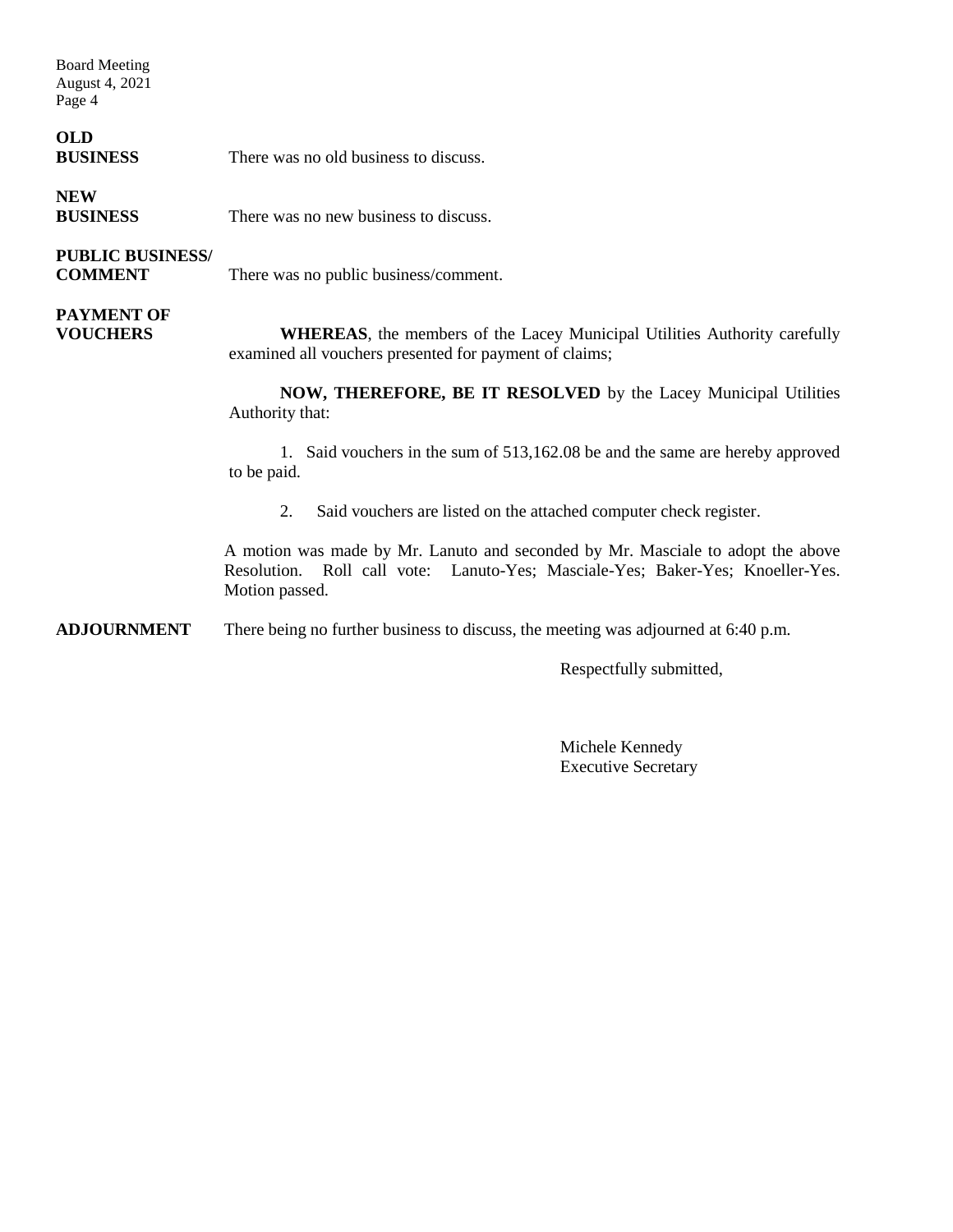Board Meeting August 4, 2021 Page 4

### **OLD**

**BUSINESS** There was no old business to discuss.

**NEW BUSINESS** There was no new business to discuss.

### **PUBLIC BUSINESS/**

**COMMENT** There was no public business/comment.

## **PAYMENT OF**

**VOUCHERS WHEREAS**, the members of the Lacey Municipal Utilities Authority carefully examined all vouchers presented for payment of claims;

> **NOW, THEREFORE, BE IT RESOLVED** by the Lacey Municipal Utilities Authority that:

> 1. Said vouchers in the sum of 513,162.08 be and the same are hereby approved to be paid.

2. Said vouchers are listed on the attached computer check register.

A motion was made by Mr. Lanuto and seconded by Mr. Masciale to adopt the above Resolution. Roll call vote: Lanuto-Yes; Masciale-Yes; Baker-Yes; Knoeller-Yes. Motion passed.

**ADJOURNMENT** There being no further business to discuss, the meeting was adjourned at 6:40 p.m.

Respectfully submitted,

Michele Kennedy Executive Secretary